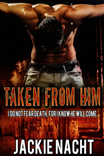# **EN FROM THE I DO NOT FEAR DEATH, FOR I KNOW HE WILL COME. JACKIENACHT**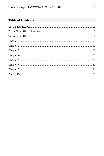### **Table of Contents**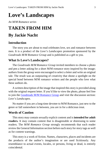# <span id="page-2-0"></span>**Love's Landscapes**

*An M/M Romance series*

# **TAKEN FROM HIM**

## **By Jackie Nacht**

### **Introduction**

The story you are about to read celebrates love, sex and romance between men. It is a product of the *Love's Landscapes* promotion sponsored by the *Goodreads M/M Romance Group* and is published as a gift to you.

### **What Is Love's Landscapes?**

The *Goodreads M/M Romance Group* invited members to choose a photo and pen a letter asking for a short M/M romance story inspired by the image; authors from the group were encouraged to select a letter and write an original tale. The result was an outpouring of creativity that shone a spotlight on the special bond between M/M romance writers and the people who love what these authors do.

A written description of the image that inspired this story is provided along with the original request letter. If you'd like to view the photo, please feel free to join the [Goodreads M/M Romance Group](http://www.goodreads.com/group/show/20149-m-m-romance) and visit the discussion section: *Love's Landscapes*.

No matter if you are a long-time devotee to M/M Romance, just new to the genre or fall somewhere in between, you are in for a delicious treat.

### **Words of Caution**

This story may contain sexually explicit content and is **intended for adult readers.** It may contain content that is disagreeable or distressing to some readers. The *M/M Romance Group* strongly recommends that each reader review the General Information section before each story for story tags as well as for content warnings.

This story is a work of fiction. Names, characters, places and incidents are the products of the author's imagination or are used fictitiously. Any resemblance to actual events, locales, or persons, living or dead, is entirely coincidental.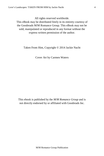All rights reserved worldwide.

This eBook may be distributed freely in its entirety courtesy of the Goodreads M/M Romance Group. This eBook may not be sold, manipulated or reproduced in any format without the express written permission of the author.

Taken From Him, Copyright © 2014 Jackie Nacht

Cover Art by Carmen Waters

This ebook is published by the *M/M Romance Group* and is not directly endorsed by or affiliated with Goodreads Inc.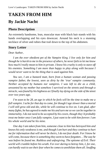# <span id="page-4-0"></span>**TAKEN FROM HIM**

# **By Jackie Nacht**

### **Photo Description**

An extremely handsome, lean, muscular man with black hair stands with his hands overlapping and his eyes downcast. Around his neck is a stunning necklace of silver and rubies that trail down to the top of his abdomen.

### **Story Letter**

### *Dear Author,*

*I am the ever obedient pet of the Vampire King. I live only for him and though he is harsh to me in the presence of others, he never fails to let me know how much I really mean to him in private. I know his cruelty is only to stave off his enemies. Something I am more than happy to play along with because I would never want to be the thing that is used against him.*

*You see, I am a bastard mutt, born from a human woman and passing vampire father, the lowest, seen as dirty by the 'true' vampire community. Neither accepted by humans nor vampires. I was left to die as a child, unwanted by my mother but somehow I survived on the streets and through a miracle, was found by his highness as I finally lay dying on the side of the street over two years ago.*

*I'm soon to be 28, an age in which he feels will be the time to make me a full vampire. I ache for that day to come, for though I age slower than a mortal I will still grow old and die, while he will continue to live on. I am glad, after many fights, he has agreed to make me his and turn me so we can be together in immortality. I do not need to be accepted by his coven, though they'd probably treat me better once I am fully vampire, I just want to be with him forever. I am his whole world and he his mine.*

*One day I am taken from him, someone close to him has betrayed him and knows his only weakness is me, and though I am hurt and they continue to hurt me for information that will never be theirs, I do not fear death. For I know he will come, because there is something they seem to have forgotten… The way he was before he found me. Ruthless and unforgiving. The epitome of Evil. Their world will crumble before his wrath. For ever daring to betray him, I, for one, can hardly wait to see their fear when he comes to annihilate them all. Snuffing*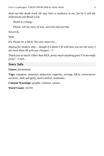*them out like death itself. He may have a weakness in me, but he is still the millennium-old Blood Lord.*

*Death is coming…* 

*Please, tell my story of love, survival and eternity.*

*Sincerely,*

*Neko*

*PS. Please be a HEA! The only must! lol…*

*Hoping for modern time... though if it doesn't fit with how you see the story, I am more than Ok with any changes! <3*

*Thank you so much! Other than HEA, pretty much anything goes! I'm not really picky! <3 heh…*

### **Story Info**

**Genre:** paranormal

**Tags:** vampires, immortal, abduction, captivity, revenge, HEA, coven/secret societies, dark and gritty, hurt/comfort, soulmates

**Content Warnings**: graphic violence, torture

**Word Count:** 10,591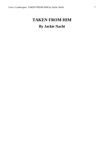# <span id="page-6-0"></span>**TAKEN FROM HIM**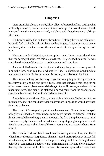<span id="page-7-0"></span>Liam stumbled along the dark, filthy alley. A bastard halfling getting what he finally deserved, death. He knew it was coming. The world wasn't blind. Humans knew that vampires existed, and along with that, there were halflings like Liam.

Oh, how he wished he had never been born. Holding the wound at his side, he could feel the hot blood spill between his fingers. At twenty-six, someone had finally done what so many others had wanted to do upon seeing him: kill him.

Humans couldn't help him, and vampires—well, he was considered viler than the garbage that littered this alley to them. They wished him dead; he was considered a shameful mistake to both humans and vampires.

A wave of dizziness hit him hard, and suddenly the ground came up and hit him in the face, or at least that's what it felt like. His cheek exploded in white hot pain as his face hit the pavement. Moaning, he rolled onto his back.

This was a fucking horrible way to go. He was going to die right there in this filthy alley, and no one gave a fuck. Liam had survived this long for no other reason than to give the world the big *fuck you*. However, even he could be taken unawares. The man who stabbed him had come from the shadows and struck the blade deep before Liam had ever seen him.

A numbness spread over Liam, along with acceptance. He had wanted so much more, knew he could have done many more things if he would have had time and a chance.

The sound of footsteps clapped along the pavement. Liam watched as a pair of highly polished black men's shoes came into view next to his head. Of all the things he could have thought at that moment, the first thing that came to mind was it was a pity the man had ruined his shoes by stepping in a pile of vomit. Here he was dying, and all he could worry about was a stranger's shoes. How absurd.

The man knelt down, black wool coat billowing around him, and that's when he saw the razor sharp fangs. The man hissed, staring down at him. A full blooded vampire. The length of the fangs were a huge tell. Liam's fangs looked pathetic in comparison, but they were far from human. The one physical feature that kept him banned all his life. That and his cerulean eyes, which were lined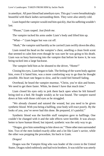in amethyst. All pure blood had amethyst eyes. This guy's were breathtakingly beautiful with black lashes surrounding them. They were also utterly cold.

Liam hoped the vampire would end him quickly, that his suffering wouldn't last.

"Please," Liam rasped. *Just finish me.*

The vampire tucked his arms under Liam's body and lifted him up.

"What—" Liam began but was cut off.

"Hush," the vampire said harshly as he carried Liam swiftly down the alley.

Liam rested his head on the vampire's chest, smelling a clean fresh scent that seemed to calm him even though he was sure he was going to his death. Liam was so busy burrowing into the vampire that before he knew it, he was being tucked into a large backseat.

The vampire held him as he shouted to the driver, "Home!"

Closing his eyes, Liam began to fade. The feeling of the warm body against him, even if it hated him, was a more comforting way to go than he thought possible. His heart rate began to slow, and he could feel himself fading.

Overhead, he heard the vampire murmur, "Christ, you're skin and bones. We need to get there faster. White, he doesn't have that much time."

Liam closed his eyes only to jerk them back open when he felt himself being tied to a bed. He fought weakly as he was bound. The vampire stared down at him with those cold eyes as he struggled.

"We already cleaned and sutured the wound, but you need to be given synthetic blood. With you being a halfling, your body will react poorly. By the looks of you, you've never had this done. Be prepared, it's painful."

Synthetic blood was the horrible stuff vampires gave to halflings. One couldn't be changed with it and the side effects were horrible. It was always better to have human blood, but injured, synthetic was the only way to go.

"Dragos, give him something to bite down on." Three other men surrounded him. Two of the men looked exactly alike and a lot like Liam's savior, while the other was prepping the procedure, his back to Liam.

### *Dragos!*

Dragos was the Vampire King who was leader of the coven in the United States. Dragos ruled ruthlessly and had twin brothers. It was told he was utterly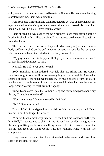cold, known to be heartless, and had been for millennia. He was above helping a bastard halfling. Liam was going to die.

Panic bubbled inside him and Liam struggled to get free of the bindings. His eyes widened as the Vampire King leaned down and stroked his damp hair back. "You will be okay. I give you my word."

Liam shifted his eyes over to the twin brothers to see them staring at their brother in shock. A hiss filled the air as Dragos turned on the two. "Leave!" he roared at them.

There wasn't much time to catch up with what was going on since Liam's body suddenly arched off the bed in agony. Dragos shoved a leather-wrapped stick in his mouth as Liam cried out. His body was on fire.

"My physician is here to help you. He'll get you back to normal in no time." Dragos leaned down next to him.

Normal? He had never been normal.

Body trembling, Liam endured what felt like lava filling him. He wasn't sure how long it lasted or if he was even going to live through it. After what seemed like hours, the pain began to lessen. His muscles ached from the strain, and he was soaked in sweat. Liam spat out the stick when he knew he was no longer going to chip his teeth from the agony.

Tired, Liam stared up at the Vampire King and murmured past a bone-dry throat, "I'm going to make it?"

"You are, my pet." Dragos stroked his hair back.

"Pet?" Liam murmured.

Dragos lifted him and gave him a cool drink. His throat was parched. "Yes, my pet. You'll no longer be alone."

"Yours." Liam almost wept in relief. For the first time, someone had helped him. Hell, Dragos wanted to claim him as his pet. Liam couldn't imagine why the Vampire King would want a halfling bastard like him. However, after the aid he had received, Liam would trust the Vampire King with his life completely.

Dragos stared down at Liam for a minute before he leaned and kissed him softly on the lips. "Mine."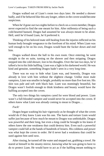Dragos walked out of Liam's room two days later. He needed a shower badly, and if he behaved like this any longer, others in the coven would become suspicious.

When he'd gone out two nights before to check on a coven member, Dragos never expected to find the one meant for him. After millennia of being such a cold-hearted bastard, Dragos had assumed he was always meant to be alone. Hell, until he'd found Liam, he'd preferred it.

Thinking of his beloved mate still healing from the injuries inflicted on his human body brought vengeance to the forefront of his mind. When Liam was well enough to be on his own, Dragos would hunt the fucker down and end him.

Dragos walked down the hall to his own room. Once entering, he went straight to the en suite, turning on the shower and then stripping. Dragos stepped into the cold shower, lost in his thoughts. Over the last two days, he'd talked a lot to his little halfling. Liam was a light in his darkened world. He was kind and genuine, something Dragos hadn't seen in a very long time.

There was no way to hide what Liam was, and honestly, Dragos was already in love with him without the slightest change. Unlike most male vampires, Liam was smaller in height, probably no more than five foot ten. His skin was pale and soft with black hair. Liam was stunningly beautiful, but Dragos wasn't foolish enough to think kindness and beauty would have the halfling accepted into the coven.

The only two things his vampires cared for were blood and power. Liam wasn't a full-blooded vampire and would never be accepted into the coven. If others knew what Liam was already coming to mean to Dragos…

### *Fuck!*

Dragos began washing his hair vigorously as he thought of what the coven would do if they knew Liam was his one. The harm and torture Liam would suffer just because of how much he meant to Dragos was unthinkable. Dragos was powerful and their king, but even a king could be brought to his knees if others knew the one weakness that could destroy him. Even such a powerful vampire could fall at the hands of hundreds of lessers. His coldness and power was what kept the coven in order. He'd never had a weakness that could be used against him until now.

After rinsing, he turned off the water and stepped out, grabbing a towel. He stared at himself in the steamy mirror, knowing what he was going to have to do to protect Liam. He would have to act as if the halfling meant nothing to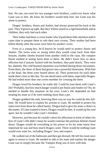him. No one, not even his two younger twin brothers, could ever know what Liam was to him. He knew his brothers would help him, but Liam was his alone to protect.

Dragos' brothers, Stasio and Andrei, had always protected his back in the past. They'd grown up tight. But they'd been raised in a rigid household, and as children, they only had each other.

Their father had been a coven leader who'd paid them little attention until it came time to prepare them to rule their own covens. Their mother had been killed shortly after the twins were born by another coven.

Even as a young boy, he'd known he would need to protect Stasio and Andrei. The twins were so young when they would come back from their lessons, chubby cheeks bruised from another child in the class. His vampire blood seethed at seeing harm done to them. He didn't know how to show affection but if anyone fucked with his brothers, they paid dearly. They were his, dammit. His cold-hearted reputation was birthed during those encounters. From there, the three of them had grown into a powerful threesome. With him at the head, the three were feared above all. Their protection for each other made them close to this day. No one dared mess with them, especially Dragos. He had ended more than one coven member for crossing the three.

Dragos loved his brothers; he really did. Could he trust them with Liam's life? Probably, but how much danger would it put Stasio and Andrei in? No, he needed to handle this situation on his own. Liam's life depended on him treating his mate as if he were nothing more than a pet.

Dragos grabbed the sink, knowing there was no way he could do this fulltime. He would have to explain his actions to Liam. He needed to protect his mate even from those he called family. Dragos had to give his mate a choice in the matter. If Liam wanted to leave, Dragos would let him. It would rip his soul apart, but he wouldn't take Liam's freedom.

However, just because he couldn't show his affections in front of others for fear of Liam's life didn't mean he would continue the pretense behind closed doors. Dragos would do everything in his power to let his mate know how important he was and how much Dragos cared. There would be nothing Liam would ever want for, including Dragos' love and respect.

He walked out of the bathroom and then got dressed. He left his room once again to return to Liam. He needed to talk to his mate and explain the danger Liam was in simply because the Vampire King was in love with him.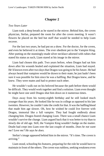### <span id="page-12-0"></span>*Two Years Later*

Liam took a deep breath as he stared in the mirror. Behind him, the coven physician, Stefan, prepared the room for after the coven meeting. It wasn't flowers he placed on the bed but stuff that would be needed to help Liam recover.

For the last two years, he had put on a show. For the doctor, for the coven, and even he believed it at times. The ever obedient pet to the Vampire King. After putting on the stunningly-made silver necklace adorned with rubies that stated his status as such, Liam stared at his image in the mirror.

Liam had chosen this path. Two years before, when Dragos had sat him down after his wounds healed and explained the situation, Liam had stayed. He'd known even after two days that Dragos was going to be his future. He had always heard that vampires would be drawn to their mate; he just hadn't been sure it was possible for him since he was a halfling. But Dragos knew, and he knew. They were mates and had to protect each other.

He wouldn't walk out on his beloved because the path before them would be difficult. They would work together and find a solution. Liam even thought he might have one until Dragos shut him down on it numerous times.

Days away from his twenty-eighth birthday and he still looked much younger than his years. He looked like he was in college as opposed to his late twenties. However, he couldn't take the credit for that. It was the halfling blood that made him age slower. Oh, how he wished he could live forever with Dragos, immortal like a full vampire. They had fought endlessly about changing him. Dragos feared changing Liam. There was a small chance Liam wouldn't survive the change. Liam argued back that it was better to try than to slowly die of old age. Still, the Vampire King wouldn't budge on the matter. Doubt had crept into Liam over the last couple of months. *Does he not want me? Love me? He says he does.*

Stefan's image appeared behind him in the mirror. "It's time. The coven is arriving."

Liam stood, schooling his features, preparing for the role he would have to maintain in front of the others. The coven was ruthless, seeking weakness even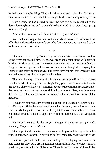in their own Vampire King. They all had an unquenchable thirst for power. Liam would not be the weak link that brought his beloved Vampire King down.

With a grace he had picked up over the two years, Liam walked to the doors, looking beautiful and serene while dread filled him inside. It was going to be a long night.

### *Just think about how it will be later when they are all gone.*

With that last thought, Liam bowed his head and crossed his wrists in front of his body; the obedient pose of a pet. The doors opened and Liam walked out to the vampires before him.

\*\*\*\*

Liam sat on the floor by Dragos' legs with his wrists crossed in front of him as the coven ate around him. Dragos was front and center along with his twin brothers, Andrei and Stasio. They were an imposing trio, but none as ruthless as Dragos. No one approached the trio of men, even though the congregation seemed to be enjoying themselves. The coven simply knew that Dragos would not welcome any of their company at his table.

That was the way of their world. Liam was the only halfling that had ever seen the inside of these private meetings. Only pure bloods were initiated into the coven. The world knew of vampires, but several covens held secret societies that even top notch governments didn't know about. Here, the laws were different. Here, human laws were not welcome. The laws of blood were all that mattered.

A tug to his hair had Liam exposing his neck, and Dragos lifted him into his lap. He ripped off the decorated necklace, which let everyone in the room know who Liam belonged to, before he ruthlessly bit down on Liam's shoulder. Liam could hear Dragos' cousins laugh from within the audience as Liam gasped in pain.

*He doesn't want to do this to you. Dragos is trying to keep you safe. Someday, things will be different.*

Liam repeated the mantra over and over as Dragos took heavy pulls on his vein. Spots began to sprout in his vision before Dragos leaned away with a roar.

Liam was put back on the floor, and he tipped over, laying his cheek on the cold stone. He blew out a breath, reminding himself this was to protect him. As a halfling, he was lucky to still be alive. The only reason he hadn't been killed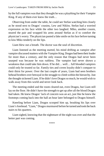by the full vampires was that they thought he was a plaything for their Vampire King. If any of them ever knew the truth…

Observing from under the table, he could see Stefan watching him closely as he stood next to Dragos' cousins, Lew and Niklos. Stefan had a worried expression on his face while the other two laughed. Miko, another cousin, neared the pair and wrapped his arms around Stefan as if to comfort the physician's worry. The physician pasted a fake smile on his face before turning to kiss Miko tenderly on the lips.

Liam blew out a breath. The doctor was the soul of discretion.

Liam listened as the meeting started, his mind drifting as vampire after vampire discussed matters with the Vampire King. Dragos had been their leader for more than a century, and the only reason that Dragos had never been usurped was because he was ruthless. The vampire had never shown a weakness that could take him down. If he did… well… full blooded vampires could only be trusted so far. Family ties and coven loyalty didn't compare to their thirst for power. Over the last couple of years, Liam had seen brothers behead brothers over betrayal in the struggle to climb within the hierarchy. Just the thought sickened Liam. If he didn't love Dragos so much, he would wish to walk away from this world and never look back.

The meeting ended and the room cleared out, even Dragos, but Liam still lay on the floor. He didn't have the strength to get up after all the blood Dragos had taken. He knew Dragos' lack of concern was an act, just like he knew the footsteps coming back into the hall an hour later belonged to Dragos himself.

Kneeling before Liam, Dragos scooped him up, brushing his lips over Liam's forehead. "Liam," Dragos murmured before he turned and took the back stairs to his quarters.

Liam sighed, knowing that the nightmare of the night was over and that the better part was coming.

\*\*\*\*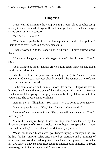<span id="page-15-0"></span>Dragos carried Liam into the Vampire King's room, blood supplies set up already to make Liam whole again. He laid Liam gently on the bed, and Dragos stared down at him in concern.

"Did I take too much?"

"You timed it perfectly. I took a nice nap while you all talked politics." Liam tried to give Dragos an encouraging smile.

Dragos frowned. "On the stone floor. Next time, I'll have pillows down there."

"You can't change anything with regard to me." Liam frowned. "They'll see it."

"I can change one thing," Dragos growled as he began intravenously giving synthetic blood to Liam.

Like the first time, the pain was excruciating, but gritting his teeth, Liam never uttered a word. Dragos was already vexed by the position the two of them were in; Liam would not add to it.

As the pain lessened and Liam felt more like himself, Dragos sat next to him, staring down with those beautiful amethyst eyes. "I'm going to give you what you want. I'm going to change you on your birthday. I don't want to lose you to age. The coven cannot touch me."

Liam sat up, joy filling him. "You mean it? We're going to be together?"

Dragos cupped his face. "Yes, Liam. I want you by my side."

A sense of fear came over Liam. "The coven will not accept this. They'll turn on you."

"I am the Vampire King. I have to stop being handcuffed by the discriminating rules of my own people." Dragos began taking out the IV. Liam watched those large powerful hands work tenderly against his flesh.

"Make love to me." Liam stared up at Dragos, trying to convey all the love he had for his vampire. What once started as gratitude and a glimmer of acceptance in a world he had long since been denied, had grown to love in the last two years. To have to hide those feelings amongst other vampires had been necessary, but to know they wouldn't have to soon…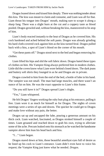Dragos leaned down and kissed him deeply. There was nothing tender about this kiss. The kiss was meant to claim and consume, and Liam was all for that. Liam thrust his tongue into Dragos' mouth, making sure to scrape it along a sharp fang. There was a slight burn at the cut and a coppery taste as blood pooled. Dragos growled and, without breaking the kiss, maneuvered to lie atop of him.

Liam's body reacted instantly to the heat of Dragos as he covered him. His cock hardened and ached behind the soft pants. Dragos was already grinding his hard cloth-covered cock against him as the kiss turned feral. Dragos pulled back with a hiss, a spot of Liam's blood on the corner of his mouth.

"Get these pants off." Dragos stood next to the bed and began removing his clothes.

Liam lifted his hips and slid the soft fabric down. Dragos hated these types of clothes on him. His Vampire King always preferred him in modern clothes. Little did the coven know what Liam wore behind closed doors. The dark jeans and buttery soft shirts they lounged in as he and Dragos ate in private.

Dragos crawled to him from the end of the bed, a bottle of lube in his hand. The vampire was not small. The man had large muscles, and there wasn't an ounce of fat on him. He was the exact opposite to Liam's thin frame.

"Do you still have it in?" Dragos spread Liam's thighs.

"Yes," Liam whispered.

He felt Dragos' fingers working the ruby butt plug at his entrance, pulling it free. Liam wore it as much for himself as for Dragos. The nights of coven meetings were a series of ups and downs. The quicker he could get to Dragos and make love without any pain, the better.

Dragos sat up and uncapped the lube, pouring a generous amount on his thick cock. Liam watched, fascinated, as Dragos stroked himself a couple of times. Liam groaned and reached down to grab his own, trying to alleviate some of the ache. Precum leaked onto his stomach as he watched the handsome vampire above him lean his head back and hiss.

"I…" Liam began.

Dragos stared down at him, those beautiful amethyst eyes full of desire as he lined up his cock to Liam's entrance. Liam didn't even have to voice his request; the Vampire King just knew what he needed. *Dragos.*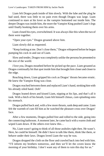Liam felt Dragos push inside of him slowly. With the lube and the plug he had used, there was little to no pain even though Dragos was large. Liam continued to stare at his lover as the vampire bottomed out inside him. The deeper Dragos was inside him, the more the Vampire King pushed Liam's legs until finally hooking them over his arms.

Liam closed his eyes, overwhelmed. It was always like this when the two of them were together.

"Open your eyes." Dragos groaned above him.

Liam slowly did as requested.

"Keep looking at me. Don't close them," Dragos whispered before he began pumping his cock in and out of Liam.

Slow and tender, Dragos was completely unlike the persona he presented to the rest of the world.

*I love you,* Dragos mouthed before he picked up the pace. Liam groaned as Dragos continually hit that spot inside him that brought him closer and closer to the edge.

Reaching down, Liam gripped his cock as Dragos' thrusts became erratic. He knew the Vampire King was close.

Dragos reached between them and replaced Liam's hand, stroking him with his already oiled hand. *Ooh!*

Dragos leaned down and kissed Liam, nipping at his lips, and that's all it took. With a hitch of his breath, Liam felt himself climax, cum splashing onto his stomach.

Dragos pulled back and, with a few more thrusts, sank deep and came. Liam felt the warmth of cum fill him as he watched the pleasure cross over Dragos' face.

After a few moments, Dragos pulled free and rolled to the side, going into the connecting bathroom. A moment later, he came back with a warm cloth and wiped Liam down. If the others ever knew this…

No, Liam wasn't going to think of all those assholes right then. He wasn't. Here, he could be himself. He didn't have to talk like them, think like them, or behave under their laws. Dragos loved Liam the way he was.

Dragos dropped the cloth on the floor and crawled back into bed with him. "I'll inform my brothers tomorrow, and then we'll let the coven know the morning of your birthday. I don't want any of them to ruin this day for us."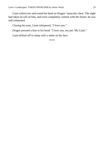Liam rolled over and rested his head on Dragos' muscular chest. The night had taken its toll on him, and even completely content with the future, he was still exhausted.

Closing his eyes, Liam whispered, "I love you."

Dragos pressed a kiss to his head. "I love you, my pet. My Liam."

Liam drifted off to sleep with a smile on his face.

\*\*\*\*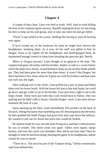<span id="page-19-0"></span>A couple of days later, Liam was hard at work. Well, hard at work killing the boss in his computer game anyway. Rapidly tapping the keys, he was trying his best to help out his raid group, only to take one more hit and get killed.

"Fuck!" Liam yelled at the screen. Nothing like having to start all fucking over again.

If he'd owned any of the hardware he used, he might have thrown the headphones, breaking them. As it was, all the stuff was gifted to him by Dragos. Even as he ripped off his headphones and death-gripped them, he maintained enough control to keep from breaking the precious gift. Barely.

*Where is Dragos anyway?* Liam thought as he glanced at the time. The vampire had gone off earlier with his brother, Andrei, to talk to a coven family while the other twin, Stasio, stayed behind to keep an eye on their home and the *pet*. They had been gone for more than three hours. It wasn't like Dragos, but there had been a few times when he'd gone out with his brothers and had some fun well into the night.

After walking over to the closet, Liam pulled out a pair of pants and hiked them over his boxer briefs. With the house left just to him and Stasio, he could go down and get a bite to eat in the kitchen. Even pets had a right to eat in the king's home. There were just rules that Liam would have to follow. One was making sure he didn't talk to Stasio. Outside Dragos' room, Liam must always maintain the look of a pet.

Upon opening up the door, Liam immediately felt prickles on the back of his neck, letting him know that something was off. Running back into the room, he then grabbed the blade Dragos had given him and crept down the hallway. He wanted to yell out for Stasio but knew that would be foolish.

He silently made his way into the main living area, and that's when he knew he was in trouble. The entire room was upset. Tables were tipped, lamps broken, and even the couch was shredded. How did he not hear that? Then he thought of what he had been doing, blasting the game in his headphones, and he closed his eyes in dread.

"There he is. The precious pet of the Vampire King," Stefan venomously said from behind him.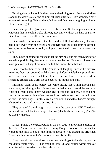Turning slowly, he took in the scene in the dining room. Stefan and Miko stood in the doorway, staring at him with such utter hate Liam wondered how he was still standing. Behind them, Niklos and Lew were dragging a bloody Stasio out of sight.

Liam whipped his gaze back over as Miko and Stefan approached him. Knowing that he couldn't take all four, especially without the help of Stasio, Liam turned and took off for the back door.

Liam wished he was faster, that he could be full blooded already. He was just a day away from the speed and strength that the other four possessed. Weak, he ran as fast as he could, whipping open the door and flying down the stairs.

The sounds of pounding footsteps behind him hiked up his fear. Stark terror made him push his legs harder than he ever had before. He was so close to the main gates and a busy street when he felt the impact from behind.

Liam let out a shout as he hit the ground hard, tangling limbs with a massive Miko. He didn't get oriented with his bearings before he felt the impact of a fist in his face once, twice, and three times. The last time, his nose made a sickening crunch, and warm blood covered his mouth and chin.

Moaning, Liam could barely see Miko sitting above him through his watering eyes. Miko grabbed his arms and pulled him up toward the vampire, "Fucking weak. I don't know what he saw in you, but I can't wait to end him. He'll suffer at every piece of you we send back to him, and the coven will turn on him like rabid dogs. Half the coven already can't stand that Dragos brought a bastard in and can't wait to destroy him."

They dragged Liam through the grass into the back of an SUV. The doors slammed, and he let out a whimper, knowing that his future was only going to be filled with pain.

\*\*\*\*

Dragos pulled up to gate, putting in the key code to allow him entrance up the drive. Andrei sat next to him, cleaning Dragos' weapon. A few choice words to the head of one of the families about how he treated his bride had Dragos ending the vampire's life for abusing his family.

Dragos would not have abuse in his coven. Getting out of his luxury car, he could immediately smell it. The smell of Liam's blood, spilled within steps of him. Andrei stiffened on the other side of the car.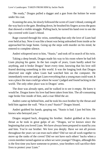"Be ready," Dragos pulled a dagger and a gun from the holster he wore under his coat.

Scanning the area, he slowly followed the scent of Liam's blood, coming all the way back to the gate. Bending down, he brushed his fingers across the grass that showed a visible struggle. Pulling back, he turned his hand over to see the tips covered with Liam's blood.

Rage coursed through his veins, something that only the love of Liam had ever held at bay. Now it was like a beast was being unleashed from inside as he approached his large home. Going up the steps with murder on his mind, he entered to complete silence.

Andrei whispered next to him, "Stasio," and took off in search of his twin.

Taking a deep breath, Dragos made his way to his room where he had left Liam playing his game. In the last couple of years, Liam hardly asked for anything, and it broke Dragos' heart every time, knowing that his love still feared desiring something in this world. It was the longing look that Dragos observed one night when Liam had watched him on the computer. He immediately went out and got Liam everything that a young man could want. It was a place the man could go where he wasn't judged and found lacking in the world. The only other place was in Dragos' arms.

The door was already open, and he walked in to see it empty. He knew it would be. Dragos knew his love had been taken from him. The all-consuming rage broke free inside of him, and a roar filled the air.

Andrei came up behind him, and he took his own brother by the throat and held him against the wall. "Was it you? Stasio?" Dragos hissed.

Andrei grabbed his hands, gasping out, "Stasio is bad. I just fed him. He knows who betrayed you."

Dragos stepped back, dropping his brother. Andrei grabbed at his own throat as he took in great gulps of air. "Dragos, we've known since the beginning that you loved Liam. We have always been prepared to stand by you and him. You're our brother. We love you deeply. Have we not all proven throughout the years we can trust each other? Did we not all work together to move up the ranks of the coven? Did we not have each others' backs when a coven member turned against us when we were younger? Dragos, although this is the first time you have someone to protect, your brothers will sacrifice their lives to protect your Liam."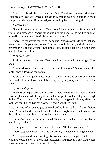Dragos scrubbed his hands over his face. The three of them had always stuck tightly together. Dragos thought they might even be closer than most vampire brothers, and Dragos had just fucked up by not trusting them.

"Forgive me."

"There is nothing to forgive. If someone I loved was taken from me, hell would be unleashed." Andrei stood and put his hand to the wall to support himself for a moment. "Stasio is in the living room."

Andrei led the way to the living room, and Dragos saw the damage that had been done to his younger brother. Bruises marred his flesh, and his face was covered in blood and wounds. Looking closer, he could see a hole in the shirt near his brother's chest.

"You were shot?"

Stasio staggered to his feet. "Yes, but I'm coming with you to get Liam back."

"We need to call Stefan and have him check you out." Dragos pushed his brother back down on the couch.

Stasio was shaking his head. "You can't. It was him and our cousins. Miko, Lew, and Niklos all took Liam. I think they are going to try and overthrow the coven."

### *Of course they are.*

The only other person in the coven that knew Dragos treated Liam different was the physician. All the supplies needed for post care had all gone through Stefan. The asshole wasn't the leader in this, but he gave his lover, Miko, the tool that could bring Dragos down. He had given them Liam.

Calm washed over Dragos, as cruel and ruthless as he had been before Liam. Now that his lover had been taken, that description seemed too minor for the hell that he was about to unleash upon his coven.

Holding out his arm, he commanded, "Stasio, feed and heal from me. I need your help, brother."

Stasio grabbed his arm and bowed his head. "Brother, you have it."

Andrei stepped closer. "I'll go to the armory and get everything we need."

As Dragos stood there feeding his brother, madness began to take over. Nothing would be left of those that took Liam, and those that survived would know to never fuck with what was his again.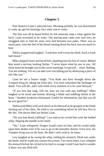<span id="page-23-0"></span>Pain flared in Liam's subconscious. Moaning pitifully, he was determined to wake up, get his bearings, face what was to come.

The hiss was all he heard before he felt someone snap a whip against his back. Liam screamed as he woke. The searing pain came over and over; he struggled only to find his arms were tied between two poles. There was so much pain, even the feel of his blood running down his back was too much to bear.

Niklos stopped and laughed. "Look how well it tears his flesh. Such a weak half-breed."

Miko stepped closer and faced him, squatting into his line of vision. Behind him stood a nervous looking Stefan. "I never knew what he saw in you. All those times he brought you to the coven meetings, I expected… more. Nothing. You are nothing. Yet we can take over everything just by destroying a piece of shit like you."

Liam let out a hoarse laugh. "You think you have brought down the Vampire King by taking me from him. You have unleashed the harbinger of death. You will die, and I will relish every moment of it for your betrayal."

"If you live that long. Tell me, how are you with sun, halfling?" Miko laughed as he stood and turned, drawing a blade and stabbing Stefan in the heart. "Another weakness eliminated. Useful for information, but that was all he was good for."

Stefan eyed Miko with such shock at his betrayal as he grasped at the blade sticking out of his chest. He tried to say something before he fell face first in the dirt. The doctor bled out before Liam.

"Do you fear death, halfling?" Lew said as he circled him with the barbed whip, flipping the handle in his hand.

"No," Liam whispered. Dragos would come for him, and he would smile upon their deaths even if he was to go to the hereafter shortly. Even now, his Vampire King was on the hunt. He didn't only wish it; he knew.

Lew laughed as he swung the whip, lashing his stomach. Flesh tore under the barbs, and he could not contain his scream. Two more times, Lew whipped his stomach before he circled to his back to ravage it until Liam had to wonder if there was any flesh left.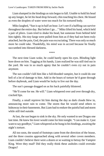Liam slumped in the bindings as rain began to fall. Unable to hold his head up any longer, he let his head drop forward, chin touching his chest. He hissed as even the droplets of water were too much for his tortured body.

Miko laughed, "Sun is up in half an hour. Let's see if a halfling can survive throughout the entire day. But before I go…" Miko lifted his hand, which held a pair of pliers. Liam tried to shake his head, but someone from behind held him tightly. His tiny fangs were pulled from him as if they had not been truly attached, but the pain, God, the pain was excruciating. There was only so much more he could take. Thankfully, his mind was in accord because he finally succumbed into blessed darkness.

\*\*\*\*

The next time Liam woke, he could barely open his eyes. Blinding light bore down on him. Tugging at his hands, Liam realized he was still tied out in the yard. He was in so much agony that he couldn't even cry out in pain anymore.

The sun couldn't kill him like a full-blooded vampire, but it could do one hell of a lot of damage to him. Add in the hours of torture he'd gone through before daybreak, and Liam would be lucky to live out the day.

The sun's passage dragged on as his back painfully blistered.

"He'll come for me. He will." Liam whispered over and over through dry, cracked lips.

Finally, a small reprieve hit him during the day as dark clouds blew in, announcing more rain to come. The storm that hit would send others to hideaway in their basements. But Liam had to endure the painful hail and storm while still tied outside.

At last, the sun began to sink in the sky. He only wanted to see Dragos one last time. He knew his lover would come for him tonight. "I can make it. I just want to say goodbye," Liam whispered as he hung in his bindings, awaiting the night's torture.

All too soon, the sound of footsteps came from the direction of the house, and the three cousins approached along with several other coven members. Liam couldn't believe there were a dozen or so waiting to betray the Vampire King. Were they mad? Did they really think these assholes could overtake Dragos?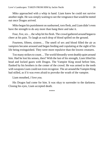Miko approached with a whip in hand. Liam knew he could not survive another night. He was simply waiting to see the vengeance that would be meted out once Dragos arrived.

Miko began his punishment on sunburned, torn flesh, and Liam didn't even have the strength to do any more than hang there and take it.

Four, five, six… the whip hit his flesh. The crowd gathered around began to cheer at his pain. To laugh as each drop of blood spilled on the ground.

Fourteen, fifteen, sixteen… The smell of sex and blood filled the air as vampires became aroused and began feeding and copulating at the sight of his life being extinguished. They were more repulsive than the lowest creatures.

Too many strikes to count… The world blessedly went deathly quiet around him. Had he lost his senses, then? With the last of his strength, Liam lifted his head and locked gazes with Dragos. The Vampire King stood before him, flanked by his brothers in the center of the crowd. He was armed to the teeth with weapons Liam could not even recognize. The air around the Vampire King had stilled, as if it was even afraid to provoke the wrath of the vampire.

Liam mouthed, *I love you.*

His Dragos had come for him. It was okay to surrender to the darkness. Closing his eyes, Liam accepted death.

\*\*\*\*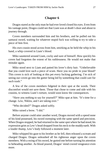<span id="page-26-0"></span>Dragos stared as the only man he had ever loved closed his eyes. Even from his vantage point, Dragos could see that Liam was at death's door and about to journey through.

Coven members surrounded him and his brothers, and he pulled out his samurai sword, waiting for whatever stupid fuck was willing to try to take a piece of him first.

His own cousin stood across from him, smirking as he held the whip in his hand, a whip covered in Liam's blood.

Miko sauntered around Liam, cocky and sure of himself. How quickly his coven had forgotten the extent of his ruthlessness. He would not make that mistake again.

Miko stood next to Liam and patted his lover's dirty hair. "Unbelievable that you could love such a piece of scum. Have you no pride in your blood? This coven is sick of looking at this pet every fucking gathering. I'm sick of seeing our coven go into the gutter being led by something that could care for such trash."

A few of the coven members fidgeted in their spot at the words. Their discomfort would not save them. Those that chose to come and side with his cousins, to witness Liam's torture, would soon know the consequences.

"Have you nothing to say for yourself?" Miko spat at him. "It's time for a change. Lew, Niklos, and I are taking over."

"Who decided?" Dragos asked softly.

Miko raised a brow. "I did."

Before anyone could utter another word, Dragos moved with a speed none of his kind possessed, his sword sweeping with the same speed and precision. When Dragos stopped, he had returned to the same spot where he had stood, his expression grim as Lew's head dropped from his neck to the muddy earth. With a louder thump, Lew's body followed a moment later.

Miko whipped his gaze to his brother as he fell, then released a scream and charged Dragos. Dragos unleashed all his righteous anger upon the coven members. With a swing of his sword, he gutted one before turning his attention to beheading another. As blood poured, Dragos' mind craved vengeance even more.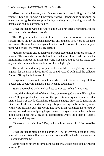Miko met him head-on, and Dragos took his time killing the foolish vampire. Limb by limb, he cut the vampire down. Stabbing and cutting until no one could recognize the vampire. He lay on the ground, looking as horrid in death as he had in his vampiric life.

Dragos turned to watch as Andrei and Stasio ran after a retreating Niklos, hacking at their last dearest cousin.

Then Dragos turned on the rest of the coven members who were present as screams filled the air. He had no mercy for any of them. They were no longer to be trusted. He would not let anyone live that could turn on him, his family, or those who chose loyalty to his leadership.

Madness crept in, and as each vampire fell before him, the more savage he became. This was who he was before Liam had tamed him, made him see the light in life. Without his Liam, the world was dark, and he would make sure anyone who betrayed him would never know light again.

The world around him grew quiet as his roar filled the night sky. Pain and anguish for the man he loved filled the sound. Crazed with grief, he yelled to Andrei. "Bring the fallen over here."

Dragos used his sword to untie Liam, who fell into his arms. Dragos felt for a pulse and shook with physical pain when he found none.

Stasio approached with two headless vampires. "What do you need?"

"I need their blood. All of them. Those who wronged Liam will bring him back." Dragos gently laid Liam on the grass, trembling as he realized that Liam's flesh was shredded. Making a decision, Dragos drew his dagger, and on Liam's neck, shoulder and arm, Dragos began carving the beautiful symbols with swift, efficient cuts. He would not have Liam remember his torture by having the marks of a whipping be permanent. His symbols with the combined blood would heal into a beautiful scarification where the others of Liam's torture would disappear.

"Dragos, all of their blood? Do you know how powerful…" Stasio trailed off.

Dragos turned to stare up at his brother. "That is why you need to prepare yourself as well. We will all do this, and no one will fuck with us ever again. Do you understand?"

Stasio nodded before he turned and rushed away to do his bidding. "Andrei, hurry up!"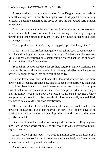As soon as the last carving was done on Liam, Dragos turned the blade on himself, cutting his wrist deeply. Taking the wrist, he dripped it over a carving on Liam's neckline, smearing the drops so that the cut turned dark crimson immediately.

Dragos was so intent on his task that he didn't notice as his brothers knelt beside him with their own wrists cut to aid in healing the markings, dripping their blood into the carvings on Liam's flesh. The wounds darkened and Liam soon began to moan.

Dragos pushed back Liam's hair, kissing pale lips. "I'm here, Liam."

Dragos, Stasio, and Andrei then got to work taking each coven member's blood and dripping it into one of Liam's carvings. The last one to be used was Miko. Dragos concentrated on a small carving on the back of the shoulder, dripping Miko's blood inside the cut.

Behind him, Dragos could feel his brothers begin carving new markings and covering his back with the betrayer's blood. Strength, the likes of which he had never felt, began to creep into each cell of his body.

No one knew why, but the blood of a deceased vampire was far more powerful than feeding off a live one. In fact, to keep from destroying their own kind, it had been law that you could never take the death blood of a vampire except under one circumstance, justice. These vampires had all done Dragos and his family wrong, and now their blood would be his payment. Other vampires would see it too, because death blood unnaturally marked flesh wounds to heal as a dark crimson scarification.

The amount of death blood they were all taking in would make them powerful enough to keep others fearfully at bay. Their bodies covered in scarifications would be the only warning others would have that they were greatly outmatched.

Liam's neck, shoulder, and arms carving darkened as the halfling began to turn from the blood scarifications. The other wounds to his body showed small signs of healing.

Dragos picked up his lover. "We need to get him back to the house. It'll take a couple of weeks for him to completely turn and heal, and I want to get him as comfortable as possible immediately."

Andrei nodded and ran to retrieve a vehicle.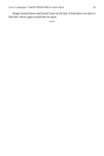Dragos leaned down and kissed Liam on the lips. It had taken two days to find him. Never again would they be apart.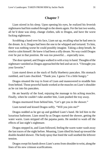<span id="page-30-0"></span>Liam stirred in his sleep. Upon opening his eyes, he realized his feverish nightmares had him soaked through to the sheets again. For the last two weeks, all he'd done was sleep, change clothes, talk to Dragos, and have the worst fucking nightmares.

Scrubbing a hand over his face, Liam sat up, recalling what he had seen in the dream. In it, Dragos had been the one to be whipped and tortured. To him, there was nothing worse he could possibly imagine. Taking a deep breath, he tried to calm himself. He knew it had been a silly dream. No way could Dragos ever be put in that position. He was too powerful… especially now.

The door opened, and Dragos walked in with a tray in hand. Thoughts of the nightmare vanished as Dragos approached the bed and sat on it. "I brought you your favorite."

Liam stared down at the stack of fluffy blueberry pancakes. His stomach rumbled, and Liam chuckled. "Thank you. I guess I'm a little hungry."

Dragos situated the tray in front of Liam and maneuvered to straddle him from behind. Those powerful hands worked at the muscles on Liam's shoulder as he cut into his pancakes.

He ate heartily of the food, enjoying the massage to his aching muscles. Finally, when he couldn't take another bite, Liam pushed the tray away.

Dragos murmured from behind him, "Let's get you in the shower."

Liam turned and kissed Dragos softly. "Will you join me?"

Dragos nodded as he got up and grabbed Liam's hand. He led him to the luxurious bathroom. Liam stood by as Dragos started the shower, getting the water warm. Liam stripped off the pajama pants. He needed to wash off the effects of last night's nightmare.

Dragos stepped in, and Liam followed, feeling the warm water wash away the last traces of the night before. Moaning, Liam tilted his head up toward the double-headed shower. The body spray that lined the wall soothed the leftover tension.

Dragos swept his hands down Liam's arms from shoulder to wrist, along the lines of his new crimson scarifications.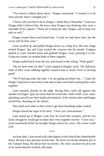"You haven't talked about these," Dragos murmured. "I wanted it to be more private when I changed you."

"I know why you had to do it, Dragos. I think they're beautiful." Liam saw Dragos didn't believe him. He knew what Dragos was thinking; they were a reminder of his capture. "These are to keep me safe, Dragos, and to keep you safe as well."

Dragos leaned down and kissed him. "I wish we had more time, but the coven will be here soon."

Liam reached up and pulled Dragos down in a deep kiss. His new fangs nicked Dragos' lips and Liam sucked the crimson into his mouth. Tongues dueled as Liam reached down and grabbed Dragos' cock, pressing it to his. Using two hands, he stroked both of them together.

Dragos pulled back from the kiss and hissed at the ceiling. "Feels good."

"Do we have time for this?" Liam nipped at Dragos' neck. The delicious slide of their cocks rubbing together caused Liam to moan. *Feels so fucking good!*

"We'll fucking make the time. I'm not going anywhere but…" Liam felt Dragos' hand move one of his to the side so they were both working their cocks together.

Liam moaned, already on the edge. Having their cocks rub against one another in Dragos' grip was more than he could take. With a huff, Liam came, splashing cum all over their hands and stomach. A few strokes later and Dragos joined him, shouting out his climax.

They held each other as they tried to get their breathing under control.

Dragos kissed the nape of his neck. "I love you. Forevermore."

Liam stared up at Dragos. God, how he loved this vampire, and he was lucky enough he would get to share their lives together forever. "I love you," Liam murmured before he brought Dragos down for a kiss. The coven could wait.

\*\*\*\*

An hour later, Liam stood with calm dignity at the front of the closed double doors. He had a new persona on this time. No more was he the obedient pet of the Vampire King. His throat bore no jewelry. His chest was bare for all to see as he stood adorned in black silk pants.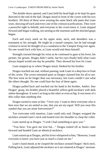The double doors opened, and Liam held his head high as he kept his gaze directed to the end of the hall. Dragos stood in front of the coven with his two brothers. All three of them were wearing the same black silk pants that Liam wore, showing off each and every one of the crimson scarifications. They were a powerful sight to behold, and everyone in the coven knew it. Liam stepped forward and began walking, not turning as the murmurs and the shocked gasps began.

Each and every mark on his upper arms, neck, and shoulders was a testament to his strength. He might be a turned vampire, but he had enough crimson to never be thought of as a weakness to the Vampire King ever again. No one would fuck with him, or Liam would end them himself.

Strength coursed through his veins as he continued to gaze at his lover, his partner, his groom. Dragos didn't smile, but his eyes finally held what Liam always hoped would one day be possible. They showed his love for Liam.

Liam stepped up to where Dragos stood, flanked by his brother.

Dragos reached out and, without pausing, took Liam in a deep kiss in front of the coven. The coven remained quiet as Dragos claimed him for all to see. The kiss went on far longer than was necessary, but Liam couldn't care what the others thought. No one could hurt the four of them again.

Dragos pulled back and reached out his hand to his brother, Andrei. Into Dragos' grasp, his brother placed a beautiful yellow-gold necklace with dark rubies throughout. It wasn't as long as the other or even as big. It was more of a thin collar than anything else.

Dragos turned to stare at him. "I love you. I want to show everyone who is here now that we are united as one, that you are my equal. Will you wear this symbol that you are mine forevermore?"

Too overcome with emotion, Liam could only nod. Dragos wrapped the necklace around Liam's neck and leaned over his shoulder to clasp the collar.

Liam stared up at Dragos. "I wish I had something to give you."

"You have. You gave me love but…" Dragos trailed off as Stasio came forward and handed Liam an identical necklace.

Liam stared up at Dragos, and his lover whispered to him, "However, I want everyone to know you have just as much a claim on me."

Liam's hand shook as he clasped the necklace around Dragos' thick neck. Pulling back, Liam adjusted the necklace so it sat centered at Dragos' sternum.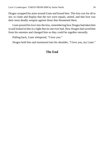Dragos wrapped his arms around Liam and kissed him. This kiss was for all to see, to claim and display that the two were equals, united, and that love was their most deadly weapon against those that threatened them.

Liam poured his love into the kiss, remembering how Dragos had taken him in and looked at him in a light that no one ever had. How Dragos had saved him from his enemies and changed him so they could be together eternally.

Pulling back, Liam whispered, "I love you."

Dragos held him and murmured into his shoulder, "I love you, my Liam."

### **The End**